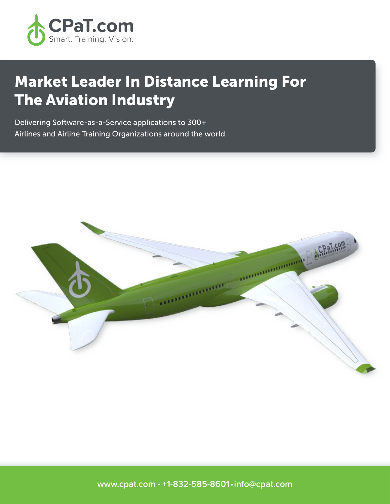

# Market Leader In Distance Learning For The Aviation Industry

Delivering Software-as-a-Service applications to 300+ Airlines and Airline Training Organizations around the world

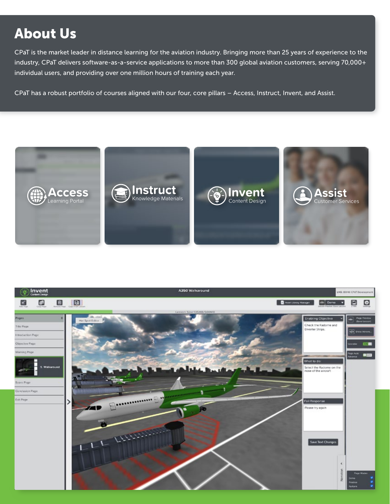# About Us

CPaT is the market leader in distance learning for the aviation industry. Bringing more than 25 years of experience to the industry, CPaT delivers software-as-a-service applications to more than 300 global aviation customers, serving 70,000+ individual users, and providing over one million hours of training each year.

CPaT has a robust portfolio of courses aligned with our four, core pillars – Access, Instruct, Invent, and Assist.



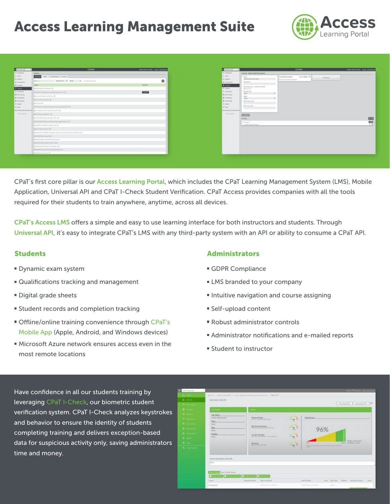### Access Learning Management Suite



| Outbries - +                                 | (LAces                                                                                                                                                                                                                                                                | benytons liens auto becaus |
|----------------------------------------------|-----------------------------------------------------------------------------------------------------------------------------------------------------------------------------------------------------------------------------------------------------------------------|----------------------------|
| 5 Inches                                     | <b>LEASEN</b>                                                                                                                                                                                                                                                         |                            |
| (Links)                                      | Sale   Albertaran   Autore                                                                                                                                                                                                                                            |                            |
| 16 Room.<br><b>BI Company</b>                | Separate W. Sales 11, W. Clear boott oft<br><b>Barnette</b>                                                                                                                                                                                                           | ٠                          |
| B Carrier                                    |                                                                                                                                                                                                                                                                       | <b>Contact:</b>            |
| <b>STORY</b>                                 | & at the difference of the financial con-                                                                                                                                                                                                                             |                            |
| <b>FTI Guerrante</b>                         | A maximum trainer from the set of the action of the SE                                                                                                                                                                                                                | -                          |
| Til tier Lines                               | Engineering on till as @                                                                                                                                                                                                                                              |                            |
| <b>B. Installation</b><br><b>B</b> Incomercy | A relaxation and the A                                                                                                                                                                                                                                                |                            |
| (6 Jane 1)                                   | <b>Britannich</b>                                                                                                                                                                                                                                                     |                            |
| Oli Helen                                    | A 14 Year old and trace registery assumed to list of the                                                                                                                                                                                                              |                            |
| ----                                         | (8) In the case can be followed by the age of the                                                                                                                                                                                                                     |                            |
| <b>Sun Suite</b>                             | The recite the benefits and The                                                                                                                                                                                                                                       |                            |
|                                              | A rather as a property of the A                                                                                                                                                                                                                                       |                            |
|                                              | a series and the contract of the contract of the contract of the contract of the contract of<br>A series that has no money and countries are in the first and the                                                                                                     |                            |
|                                              | A relative to consumer and its                                                                                                                                                                                                                                        |                            |
|                                              | The most man forest and IR                                                                                                                                                                                                                                            |                            |
|                                              | A record and support the second telephone of the second control and the second con-                                                                                                                                                                                   |                            |
|                                              | & Front Auto land last                                                                                                                                                                                                                                                |                            |
|                                              | A most lease causa's bailey lead-                                                                                                                                                                                                                                     |                            |
|                                              | the control of the control of the control of the control of the control of the control of the control of the control of the control of the control of the control of the control of the control of the control of the control<br>THE PARTIES MULTIPLE HOUSE COUNTIES. |                            |
|                                              | The mount would consume a process comes                                                                                                                                                                                                                               |                            |
|                                              | A 2003 Robb Street of North Renew                                                                                                                                                                                                                                     |                            |
|                                              | to move been care for                                                                                                                                                                                                                                                 |                            |

CPaT's first core pillar is our Access Learning Portal, which includes the CPaT Learning Management System (LMS), Mobile Application, Universal API and CPaT I-Check Student Verification. CPaT Access provides companies with all the tools required for their students to train anywhere, anytime, across all devices.

CPaT's Access LMS offers a simple and easy to use learning interface for both instructors and students. Through Universal API, it's easy to integrate CPaT's LMS with any third-party system with an API or ability to consume a CPaT API.

#### **Students**

- Dynamic exam system
- Qualifications tracking and management
- Digital grade sheets
- Student records and completion tracking
- Offline/online training convenience through CPaT's Mobile App (Apple, Android, and Windows devices)
- Microsoft Azure network ensures access even in the most remote locations

#### Administrators

- GDPR Compliance
- LMS branded to your company
- **Intuitive navigation and course assigning**
- Self-upload content
- Robust administrator controls
- Administrator notifications and e-mailed reports
- Student to instructor

Have confidence in all our students training by leveraging CPaT I-Check, our biometric student verification system. CPaT I-Check analyzes keystrokes and behavior to ensure the identity of students completing training and delivers exception-based data for suspicious activity only, saving administrators time and money.

| Out horized.           |                                                                    |                                                                                   |                |                                                                          | <b>Chap Thompson and Am</b>            |  |
|------------------------|--------------------------------------------------------------------|-----------------------------------------------------------------------------------|----------------|--------------------------------------------------------------------------|----------------------------------------|--|
|                        |                                                                    | Hearts 1. Non-externates a share-distance to disapply the case in Shart SV.       |                |                                                                          |                                        |  |
| <b>M</b> Brazen.       | Carriculum Word BY                                                 |                                                                                   |                |                                                                          |                                        |  |
|                        |                                                                    |                                                                                   |                |                                                                          | Downell E. DormalCN 145                |  |
|                        | ---                                                                |                                                                                   |                |                                                                          |                                        |  |
|                        | <b>Univ Name</b>                                                   |                                                                                   |                |                                                                          |                                        |  |
| _                      | Fredric Billegrounds.                                              | Password Read                                                                     | $\sim$ 1       | Ownstrees.                                                               |                                        |  |
| <b>Air Lines</b>       | <b>Diet</b><br><b>Toronto</b>                                      |                                                                                   | $\sim$         |                                                                          |                                        |  |
|                        | Sex.                                                               | <b>BuCard Entiment</b><br>Team Arts, Calciniers Armstrown                         | O              |                                                                          |                                        |  |
|                        | <b>Tourist</b>                                                     |                                                                                   |                | 96%                                                                      |                                        |  |
|                        | <b>Traiting</b><br><b>Wallet</b>                                   | <b>Linarius Changes</b><br>They think the state of the term is an expected to the | $\sim$ 1.<br>m |                                                                          |                                        |  |
|                        |                                                                    |                                                                                   |                |                                                                          | Ministy Williams                       |  |
|                        |                                                                    | <b>BioCheck</b><br><b>Brown and Care at the</b>                                   | $-1$<br>m      | <br>and the state and an additional process of the state<br><b>COLOR</b> | 100% Cashibitos Great                  |  |
| <b>St. Transferred</b> |                                                                    |                                                                                   |                |                                                                          |                                        |  |
|                        |                                                                    |                                                                                   |                |                                                                          |                                        |  |
|                        | Energy Heavilation: Miset RK                                       |                                                                                   |                |                                                                          |                                        |  |
|                        | <b>Daniel</b>                                                      |                                                                                   |                |                                                                          |                                        |  |
|                        |                                                                    |                                                                                   |                |                                                                          |                                        |  |
|                        | <b>Paul &amp; Classic Systems</b><br><b><i><u>Press De</u></i></b> |                                                                                   |                |                                                                          |                                        |  |
|                        | ıо<br>---                                                          | e<br>-10<br><b>Adiust Nova</b>                                                    |                |                                                                          |                                        |  |
|                        | <b>They Congress</b><br><b>Riveral Nordon</b><br>Lesson:           |                                                                                   |                | <b>Tara Emaller</b>                                                      | for eacher Reform Industrialists - New |  |
|                        | <b>Danibasis</b>                                                   | terait on the interior.                                                           |                | Someon the Internet<br><b>Service</b>                                    |                                        |  |
|                        |                                                                    |                                                                                   |                |                                                                          |                                        |  |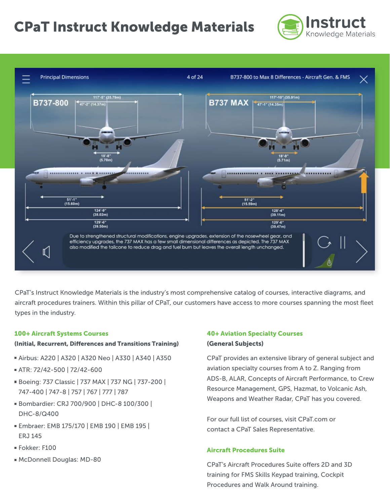## CPaT Instruct Knowledge Materials





CPaT's Instruct Knowledge Materials is the industry's most comprehensive catalog of courses, interactive diagrams, and aircraft procedures trainers. Within this pillar of CPaT, our customers have access to more courses spanning the most fleet types in the industry.

#### 100+ Aircraft Systems Courses

#### (Initial, Recurrent, Differences and Transitions Training)

- Airbus: A220 | A320 | A320 Neo | A330 | A340 | A350
- ATR: 72/42-500 | 72/42-600
- Boeing: 737 Classic | 737 MAX | 737 NG | 737-200 | 747-400 | 747-8 | 757 | 767 | 777 | 787
- Bombardier: CRJ 700/900 | DHC-8 100/300 | DHC-8/Q400
- Embraer: EMB 175/170 | EMB 190 | EMB 195 | ERJ 145
- Fokker: F100
- McDonnell Douglas: MD-80

#### 40+ Aviation Specialty Courses (General Subjects)

CPaT provides an extensive library of general subject and aviation specialty courses from A to Z. Ranging from ADS-B, ALAR, Concepts of Aircraft Performance, to Crew Resource Management, GPS, Hazmat, to Volcanic Ash, Weapons and Weather Radar, CPaT has you covered.

For our full list of courses, visit CPaT.com or contact a CPaT Sales Representative.

#### Aircraft Procedures Suite

CPaT's Aircraft Procedures Suite offers 2D and 3D training for FMS Skills Keypad training, Cockpit Procedures and Walk Around training.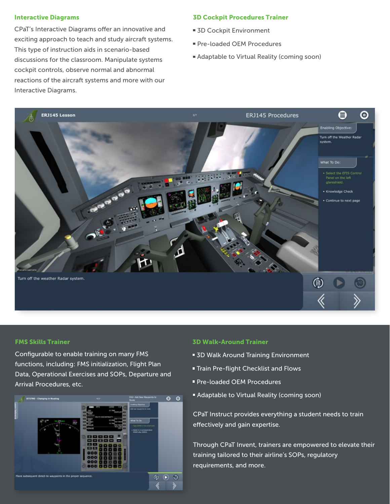#### Interactive Diagrams

CPaT's Interactive Diagrams offer an innovative and exciting approach to teach and study aircraft systems. This type of instruction aids in scenario-based discussions for the classroom. Manipulate systems cockpit controls, observe normal and abnormal reactions of the aircraft systems and more with our Interactive Diagrams.

#### 3D Cockpit Procedures Trainer

- **3D Cockpit Environment**
- Pre-loaded OEM Procedures
- Adaptable to Virtual Reality (coming soon)



#### FMS Skills Trainer

Configurable to enable training on many FMS functions, including: FMS initialization, Flight Plan Data, Operational Exercises and SOPs, Departure and Arrival Procedures, etc.

![](_page_4_Picture_9.jpeg)

#### 3D Walk-Around Trainer

- **5D Walk Around Training Environment**
- **Train Pre-flight Checklist and Flows**
- **Pre-loaded OEM Procedures**
- Adaptable to Virtual Reality (coming soon)

CPaT Instruct provides everything a student needs to train effectively and gain expertise.

Through CPaT Invent, trainers are empowered to elevate their training tailored to their airline's SOPs, regulatory requirements, and more.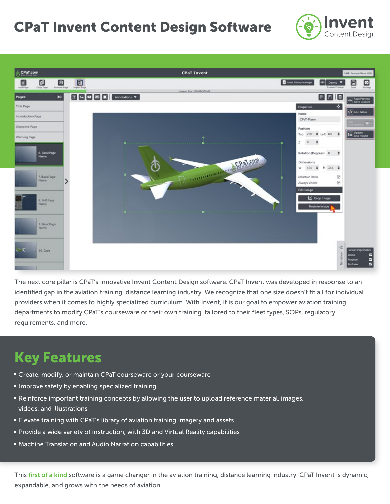### CPaT Invent Content Design Software

![](_page_5_Picture_1.jpeg)

![](_page_5_Picture_2.jpeg)

The next core pillar is CPaT's innovative Invent Content Design software. CPaT Invent was developed in response to an identified gap in the aviation training, distance learning industry. We recognize that one size doesn't fit all for individual providers when it comes to highly specialized curriculum. With Invent, it is our goal to empower aviation training departments to modify CPaT's courseware or their own training, tailored to their fleet types, SOPs, regulatory requirements, and more.

### Key Features

- Create, modify, or maintain CPaT courseware or your courseware
- **Improve safety by enabling specialized training**
- Reinforce important training concepts by allowing the user to upload reference material, images, videos, and illustrations
- Elevate training with CPaT's library of aviation training imagery and assets
- Provide a wide variety of instruction, with 3D and Virtual Reality capabilities
- Machine Translation and Audio Narration capabilities

This first of a kind software is a game changer in the aviation training, distance learning industry. CPaT Invent is dynamic, expandable, and grows with the needs of aviation.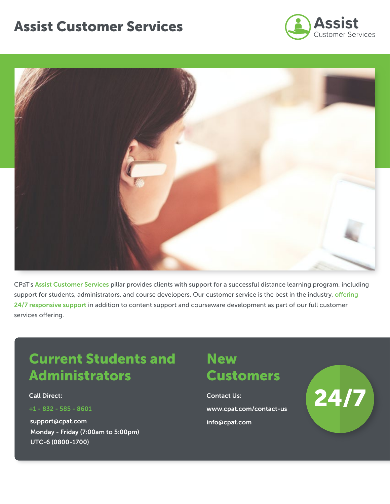### Assist Customer Services

![](_page_6_Picture_1.jpeg)

![](_page_6_Picture_2.jpeg)

CPaT's Assist Customer Services pillar provides clients with support for a successful distance learning program, including support for students, administrators, and course developers. Our customer service is the best in the industry, offering 24/7 responsive support in addition to content support and courseware development as part of our full customer services offering.

### Current Students and Administrators

Call Direct:

+1 - 832 - 585 - 8601

support@cpat.com Monday - Friday (7:00am to 5:00pm) UTC-6 (0800-1700)

### **New Customers**

Contact Us: www.cpat.com/contact-us info@cpat.com

![](_page_6_Picture_10.jpeg)